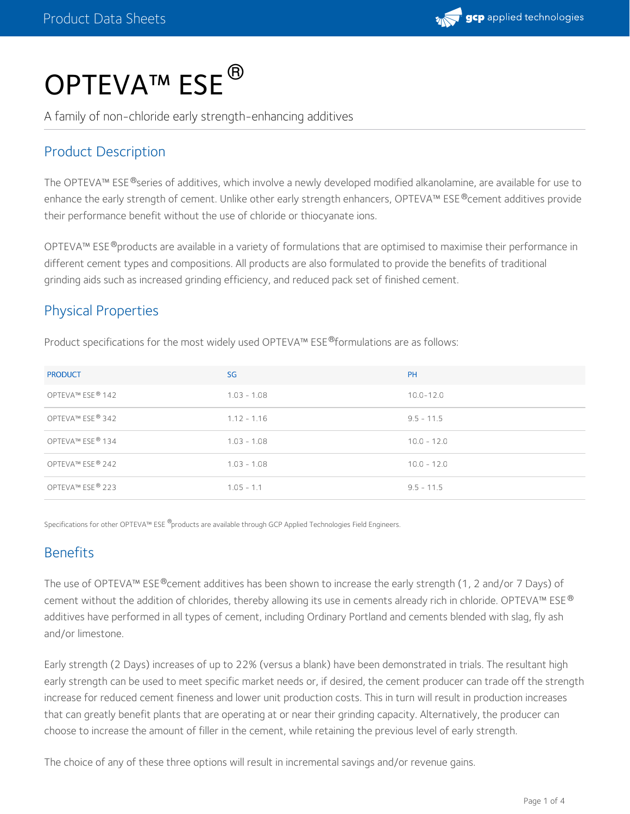

# OPTEVA™ ESE<sup>®</sup>

A family of non-chloride early strength-enhancing additives

#### Product Description

The OPTEVA™ ESE®series of additives, which involve a newly developed modified alkanolamine, are available for use to enhance the early strength of cement. Unlike other early strength enhancers, OPTEVA™ ESE®cement additives provide their performance benefit without the use of chloride or thiocyanate ions.

OPTEVA™ ESE®products are available in a variety of formulations that are optimised to maximise their performance in different cement types and compositions. All products are also formulated to provide the benefits of traditional grinding aids such as increased grinding efficiency, and reduced pack set of finished cement.

#### Physical Properties

Product specifications for the most widely used OPTEVA™ ESE®formulations are as follows:

| <b>PRODUCT</b>   | SG            | <b>PH</b>     |
|------------------|---------------|---------------|
| OPTEVA™ ESE® 142 | $1.03 - 1.08$ | $10.0 - 12.0$ |
| OPTEVA™ ESE® 342 | $1.12 - 1.16$ | $9.5 - 11.5$  |
| OPTEVA™ ESE® 134 | $1.03 - 1.08$ | $10.0 - 12.0$ |
| OPTEVA™ ESE® 242 | $1.03 - 1.08$ | $10.0 - 12.0$ |
| OPTEVA™ ESE® 223 | $1.05 - 1.1$  | $9.5 - 11.5$  |

Specifications for other OPTEVA™ ESE ®products are available through GCP Applied Technologies Field Engineers.

#### **Benefits**

The use of OPTEVA™ ESE®cement additives has been shown to increase the early strength (1, 2 and/or 7 Days) of cement without the addition of chlorides, thereby allowing its use in cements already rich in chloride. OPTEVA™ ESE® additives have performed in all types of cement, including Ordinary Portland and cements blended with slag, fly ash and/or limestone.

Early strength (2 Days) increases of up to 22% (versus a blank) have been demonstrated in trials. The resultant high early strength can be used to meet specific market needs or, if desired, the cement producer can trade off the strength increase for reduced cement fineness and lower unit production costs. This in turn will result in production increases that can greatly benefit plants that are operating at or near their grinding capacity. Alternatively, the producer can choose to increase the amount of filler in the cement, while retaining the previous level of early strength.

The choice of any of these three options will result in incremental savings and/or revenue gains.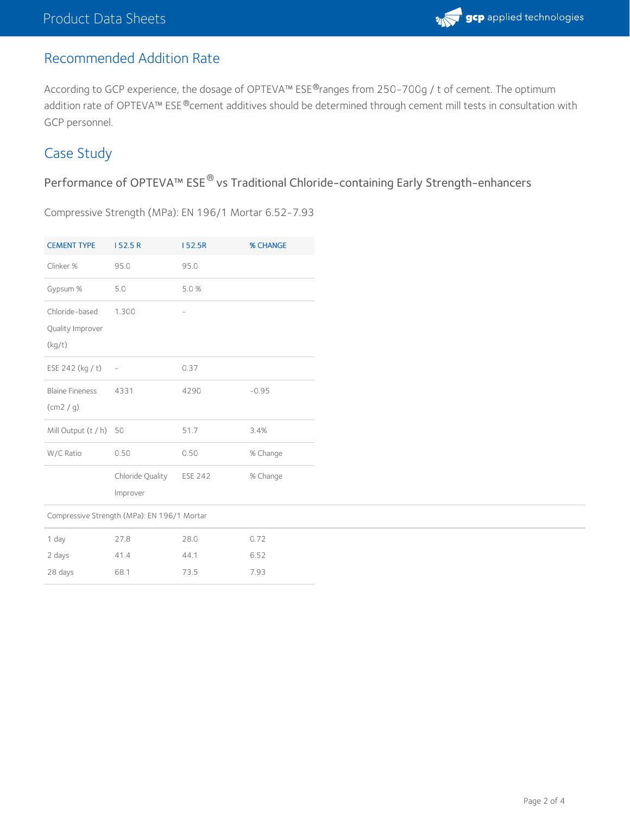## Recommended Addition Rate

According to GCP experience, the dosage of OPTEVA™ ESE®ranges from 250-700g / t of cement. The optimum addition rate of OPTEVA™ ESE®cement additives should be determined through cement mill tests in consultation with GCP personnel.

### Case Study

Performance of OPTEVA™ ESE® vs Traditional Chloride-containing Early Strength-enhancers

Compressive Strength (MPa): EN 196/1 Mortar 6.52-7.93

| <b>CEMENT TYPE</b>                          | 152.5R                   | 152.5R         | % CHANGE |  |
|---------------------------------------------|--------------------------|----------------|----------|--|
| Clinker %                                   | 95.0                     | 95.0           |          |  |
| Gypsum %                                    | 5.0                      | 5.0%           |          |  |
| Chloride-based                              | 1.300                    |                |          |  |
| Quality Improver                            |                          |                |          |  |
| (kg/t)                                      |                          |                |          |  |
| ESE 242 (kg / t)                            | $\overline{\phantom{a}}$ | 0.37           |          |  |
| <b>Blaine Fineness</b>                      | 4331                     | 4290           | $-0.95$  |  |
| (cm2 / g)                                   |                          |                |          |  |
| Mill Output (t / h) 50                      |                          | 51.7           | 3.4%     |  |
| W/C Ratio                                   | 0.50                     | 0.50           | % Change |  |
|                                             | Chloride Quality         | <b>ESE 242</b> | % Change |  |
|                                             | Improver                 |                |          |  |
| Compressive Strength (MPa): EN 196/1 Mortar |                          |                |          |  |
| 1 day                                       | 27.8                     | 28.0           | 0.72     |  |
| 2 days                                      | 41.4                     | 44.1           | 6.52     |  |
| 28 days                                     | 68.1                     | 73.5           | 7.93     |  |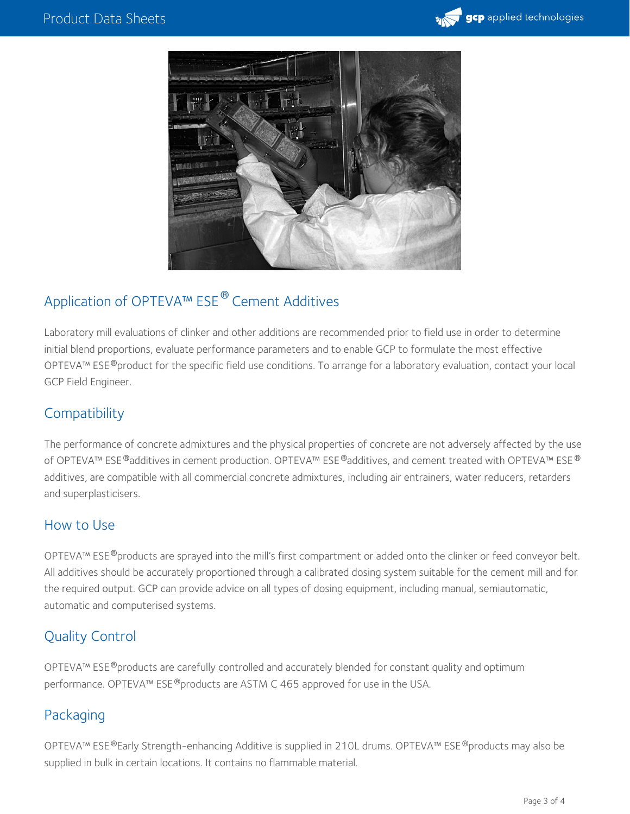



# Application of OPTEVA™ ESE<sup>®</sup> Cement Additives

Laboratory mill evaluations of clinker and other additions are recommended prior to field use in order to determine initial blend proportions, evaluate performance parameters and to enable GCP to formulate the most effective OPTEVA™ ESE®product for the specific field use conditions. To arrange for a laboratory evaluation, contact your local GCP Field Engineer.

#### **Compatibility**

The performance of concrete admixtures and the physical properties of concrete are not adversely affected by the use of OPTEVA™ ESE®additives in cement production. OPTEVA™ ESE®additives, and cement treated with OPTEVA™ ESE® additives, are compatible with all commercial concrete admixtures, including air entrainers, water reducers, retarders and superplasticisers.

#### How to Use

OPTEVA™ ESE®products are sprayed into the mill's first compartment or added onto the clinker or feed conveyor belt. All additives should be accurately proportioned through a calibrated dosing system suitable for the cement mill and for the required output. GCP can provide advice on all types of dosing equipment, including manual, semiautomatic, automatic and computerised systems.

#### Quality Control

OPTEVA™ ESE®products are carefully controlled and accurately blended for constant quality and optimum performance. OPTEVA™ ESE®products are ASTM C 465 approved for use in the USA.

#### Packaging

OPTEVA™ ESE®Early Strength-enhancing Additive is supplied in 210L drums. OPTEVA™ ESE®products may also be supplied in bulk in certain locations. It contains no flammable material.